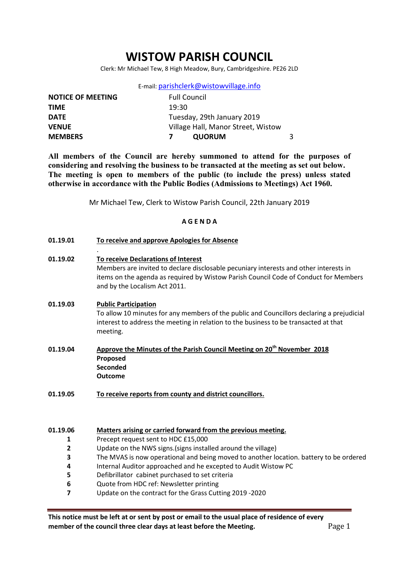# WISTOW PARISH COUNCIL

Clerk: Mr Michael Tew, 8 High Meadow, Bury, Cambridgeshire. PE26 2LD

| E-mail: parishclerk@wistowvillage.info |
|----------------------------------------|
|----------------------------------------|

| <b>NOTICE OF MEETING</b> | <b>Full Council</b>                |  |
|--------------------------|------------------------------------|--|
| <b>TIME</b>              | 19:30                              |  |
| <b>DATE</b>              | Tuesday, 29th January 2019         |  |
| <b>VENUE</b>             | Village Hall, Manor Street, Wistow |  |
| <b>MEMBERS</b>           | <b>QUORUM</b>                      |  |

All members of the Council are hereby summoned to attend for the purposes of considering and resolving the business to be transacted at the meeting as set out below. The meeting is open to members of the public (to include the press) unless stated otherwise in accordance with the Public Bodies (Admissions to Meetings) Act 1960.

Mr Michael Tew, Clerk to Wistow Parish Council, 22th January 2019

#### A G E N D A

| 01.19.01 | To receive and approve Apologies for Absence |
|----------|----------------------------------------------|
|          |                                              |

01.19.02 To receive Declarations of Interest Members are invited to declare disclosable pecuniary interests and other interests in items on the agenda as required by Wistow Parish Council Code of Conduct for Members and by the Localism Act 2011.

#### 01.19.03 Public Participation

.

To allow 10 minutes for any members of the public and Councillors declaring a prejudicial interest to address the meeting in relation to the business to be transacted at that meeting.

- 01.19.04 Approve the Minutes of the Parish Council Meeting on 20<sup>th</sup> November 2018 Proposed **Seconded** Outcome
- 01.19.05 To receive reports from county and district councillors.

01.19.06 Matters arising or carried forward from the previous meeting.

- 1 Precept request sent to HDC £15,000
- 2 Update on the NWS signs.(signs installed around the village)
- 3 The MVAS is now operational and being moved to another location. battery to be ordered
- 4 Internal Auditor approached and he excepted to Audit Wistow PC
- 5 Defibrillator cabinet purchased to set criteria
- 6 Quote from HDC ref: Newsletter printing
- 7 Update on the contract for the Grass Cutting 2019 -2020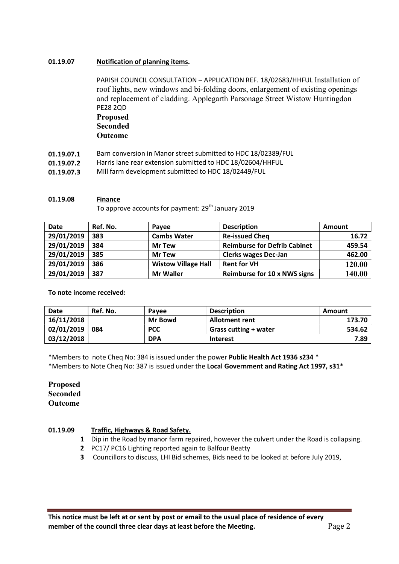#### 01.19.07 Notification of planning items.

PARISH COUNCIL CONSULTATION – APPLICATION REF. 18/02683/HHFUL Installation of roof lights, new windows and bi-folding doors, enlargement of existing openings and replacement of cladding. Applegarth Parsonage Street Wistow Huntingdon PE28 2QD Proposed

## Seconded Outcome

- 01.19.07.1 Barn conversion in Manor street submitted to HDC 18/02389/FUL
- 01.19.07.2 Harris lane rear extension submitted to HDC 18/02604/HHFUL
- 01.19.07.3 Mill farm development submitted to HDC 18/02449/FUL

#### 01.19.08 Finance

To approve accounts for payment: 29<sup>th</sup> January 2019

| <b>Date</b> | Ref. No. | <b>Pavee</b>               | <b>Description</b>                  | Amount |
|-------------|----------|----------------------------|-------------------------------------|--------|
| 29/01/2019  | 383      | <b>Cambs Water</b>         | <b>Re-issued Cheq</b>               | 16.72  |
| 29/01/2019  | 384      | <b>Mr Tew</b>              | <b>Reimburse for Defrib Cabinet</b> | 459.54 |
| 29/01/2019  | 385      | <b>Mr Tew</b>              | <b>Clerks wages Dec-Jan</b>         | 462.00 |
| 29/01/2019  | 386      | <b>Wistow Village Hall</b> | <b>Rent for VH</b>                  | 120.00 |
| 29/01/2019  | 387      | <b>Mr Waller</b>           | Reimburse for 10 x NWS signs        | 140.00 |

### To note income received:

| <b>Date</b> | Ref. No. | Pavee          | <b>Description</b>           | Amount |
|-------------|----------|----------------|------------------------------|--------|
| 16/11/2018  |          | <b>Mr Bowd</b> | <b>Allotment rent</b>        | 173.70 |
| 02/01/2019  | 084      | <b>PCC</b>     | <b>Grass cutting + water</b> | 534.62 |
| 03/12/2018  |          | <b>DPA</b>     | <b>Interest</b>              | 7.89   |

\*Members to note Cheq No: 384 is issued under the power Public Health Act 1936 s234 \* \*Members to Note Cheq No: 387 is issued under the Local Government and Rating Act 1997, s31\*

### Proposed **Seconded** Outcome

#### 01.19.09 Traffic, Highways & Road Safety.

- 1 Dip in the Road by manor farm repaired, however the culvert under the Road is collapsing.
- 2 PC17/ PC16 Lighting reported again to Balfour Beatty
- 3 Councillors to discuss, LHI Bid schemes, Bids need to be looked at before July 2019,